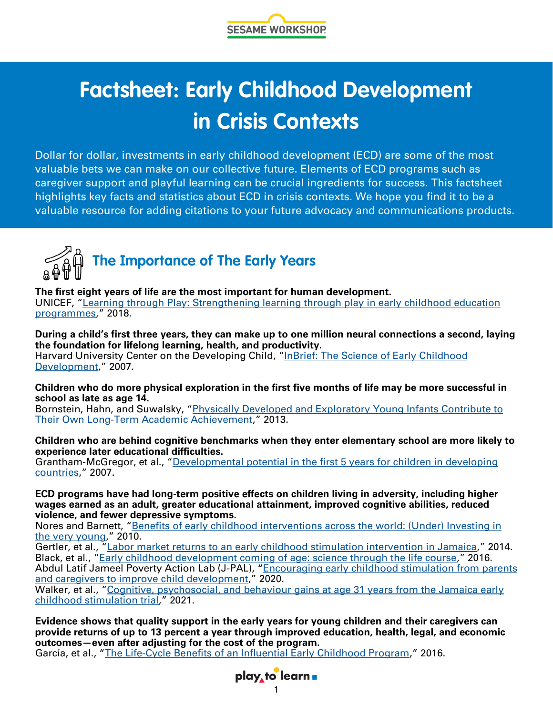

# **Factsheet: Early Childhood Development in Crisis Contexts**

Dollar for dollar, investments in early childhood development (ECD) are some of the most valuable bets we can make on our collective future. Elements of ECD programs such as caregiver support and playful learning can be crucial ingredients for success. This factsheet highlights key facts and statistics about ECD in crisis contexts. We hope you find it to be a valuable resource for adding citations to your future advocacy and communications products.



**The first eight years of life are the most important for human development.**  UNICEF, "[Learning through Play: Strengthening learning through play in early childhood education](https://www.unicef.org/sites/default/files/2018-12/UNICEF-Lego-Foundation-Learning-through-Play.pdf)  [programmes](https://www.unicef.org/sites/default/files/2018-12/UNICEF-Lego-Foundation-Learning-through-Play.pdf)," 2018.

**During a child's first three years, they can make up to one million neural connections a second, laying the foundation for lifelong learning, health, and productivity.**  Harvard University Center on the Developing Child, "[InBrief: The Science of Early Childhood](https://developingchild.harvard.edu/resources/inbrief-science-of-ecd/)  [Development](https://developingchild.harvard.edu/resources/inbrief-science-of-ecd/)," 2007.

**Children who do more physical exploration in the first five months of life may be more successful in school as late as age 14.** 

Bornstein, Hahn, and Suwalsky, "Physically Developed and Exploratory Young Infants Contribute to Their Own Long-[Term Academic Achievement](https://journals.sagepub.com/doi/10.1177/0956797613479974?url_ver=Z39.88-2003&rfr_id=ori:rid:crossref.org&rfr_dat=cr_pub%20%200pubmed)," 2013.

#### **Children who are behind cognitive benchmarks when they enter elementary school are more likely to experience later educational difficulties.**

Grantham-McGregor, et al., "[Developmental potential in the first 5 years for children in developing](https://www.thelancet.com/journals/lancet/article/PIIS0140-6736(07)60032-4/fulltext)  [countries](https://www.thelancet.com/journals/lancet/article/PIIS0140-6736(07)60032-4/fulltext)," 2007.

**ECD programs have had long-term positive effects on children living in adversity, including higher wages earned as an adult, greater educational attainment, improved cognitive abilities, reduced violence, and fewer depressive symptoms.** 

Nores and Barnett, "Benefits of early childhood interventions across the world: (Under) Investing in [the very young](https://www.sciencedirect.com/science/article/abs/pii/S027277570900106X)," 2010.

Gertler, et al., "[Labor market returns to an early childhood stimulation intervention in Jamaica](https://www.science.org/doi/10.1126/science.1251178)," 2014. Black, et al., "[Early childhood development coming of age: science through the life course](http://www.thelancet.com/journals/lancet/article/PIIS0140-6736(16)31389-7/fulltext)," 2016. Abdul Latif Jameel Poverty Action Lab (J-PAL), "Encouraging early childhood stimulation from parents [and caregivers to improve child development](https://www.sciencedirect.com/science/article/abs/pii/S027277570900106X)," 2020.

Walker, et al., "Cognitive, psychosocial, and behaviour gains at age 31 years from the Jamaica early [childhood stimulation trial](https://acamh.onlinelibrary.wiley.com/doi/pdfdirect/10.1111/jcpp.13499)," 2021.

**Evidence shows that quality support in the early years for young children and their caregivers can provide returns of up to 13 percent a year through improved education, health, legal, and economic outcomes—even after adjusting for the cost of the program.** 

García, et al., "The Life-[Cycle Benefits of an Influential Early Childhood Program](https://www.nber.org/system/files/working_papers/w22993/w22993.pdf)," 2016.

## play to learn **a**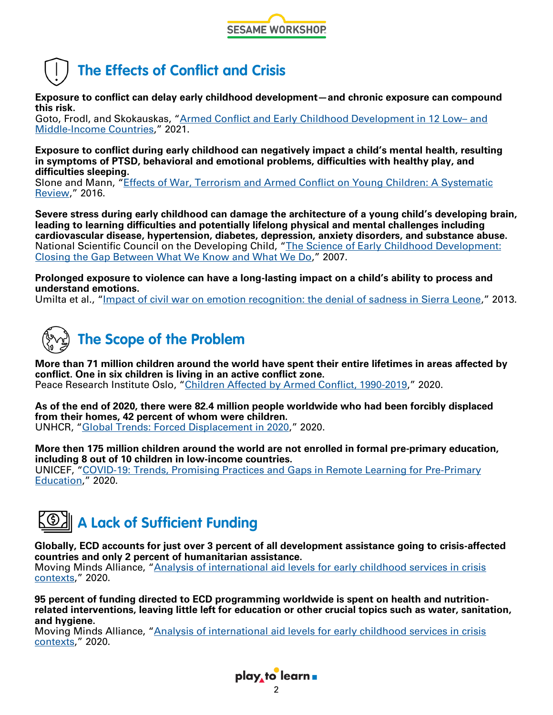



**Exposure to conflict can delay early childhood development—and chronic exposure can compound this risk.** 

Goto, Frodl, and Skokauskas, "[Armed Conflict and Early Childhood Development in 12 Low–](https://publications.aap.org/pediatrics/article-abstract/148/3/e2021050332/181027/Armed-Conflict-and-Early-Childhood-Development-in?redirectedFrom=fulltext) and Middle-[Income Countries](https://publications.aap.org/pediatrics/article-abstract/148/3/e2021050332/181027/Armed-Conflict-and-Early-Childhood-Development-in?redirectedFrom=fulltext)," 2021.

**Exposure to conflict during early childhood can negatively impact a child's mental health, resulting in symptoms of PTSD, behavioral and emotional problems, difficulties with healthy play, and difficulties sleeping.** 

Slone and Mann, "[Effects of War, Terrorism and Armed Conflict on Young Children: A Systematic](https://link.springer.com/article/10.1007/s10578-016-0626-7)  [Review](https://link.springer.com/article/10.1007/s10578-016-0626-7)," 2016.

**Severe stress during early childhood can damage the architecture of a young child's developing brain, leading to learning difficulties and potentially lifelong physical and mental challenges including cardiovascular disease, hypertension, diabetes, depression, anxiety disorders, and substance abuse.**  National Scientific Council on the Developing Child, "[The Science of Early Childhood Development:](https://developingchild.harvard.edu/wp-content/uploads/2015/05/Science_Early_Childhood_Development.pdf)  [Closing the Gap Between What We Know and What We Do](https://developingchild.harvard.edu/wp-content/uploads/2015/05/Science_Early_Childhood_Development.pdf)," 2007.

**Prolonged exposure to violence can have a long-lasting impact on a child's ability to process and understand emotions.** 

Umilta et al., "[Impact of civil war on emotion recognition: the denial of sadness in Sierra Leone](https://www.frontiersin.org/articles/10.3389/fpsyg.2013.00523/full)," 2013.



**More than 71 million children around the world have spent their entire lifetimes in areas affected by conflict. One in six children is living in an active conflict zone.**  Peace Research Institute Oslo, "[Children Affected by Armed Conflict, 1990](https://reliefweb.int/sites/reliefweb.int/files/resources/%C3%98stby%2C%20Rustad%20%26%20Tollefsen%20-%20Children%20Affected%20by%20Armed%20Conflict%2C%201990%E2%80%932019%20-%20Conflict%20Trends%206-2020.pdf)-2019," 2020.

**As of the end of 2020, there were 82.4 million people worldwide who had been forcibly displaced from their homes, 42 percent of whom were children.**  UNHCR, "[Global Trends: Forced Displacement in 2020](https://www.unhcr.org/flagship-reports/globaltrends/?web=1&wdLOR=c143D896F-4D09-4D35-B4BC-12542A945C99)," 2020.

**More then 175 million children around the world are not enrolled in formal pre-primary education, including 8 out of 10 children in low-income countries.**  UNICEF, "COVID-[19: Trends, Promising Practices and Gaps in Remote Learning for Pre](https://www.unicef-irc.org/publications/pdf/COVID-19_Trends_Promising_Practices_and_Gaps_in_Remote_Learning_for_Pre-Primary_Education.pdf)-Primary [Education](https://www.unicef-irc.org/publications/pdf/COVID-19_Trends_Promising_Practices_and_Gaps_in_Remote_Learning_for_Pre-Primary_Education.pdf)," 2020.



**Globally, ECD accounts for just over 3 percent of all development assistance going to crisis-affected countries and only 2 percent of humanitarian assistance.**

Moving Minds Alliance, "[Analysis of international aid levels for early childhood services in crisis](https://movingmindsalliance.org/wp-content/uploads/2020/12/analysis-of-international-aid-levels-for-early-childhood-services-in-crisis-contexts.pdf)  [contexts](https://movingmindsalliance.org/wp-content/uploads/2020/12/analysis-of-international-aid-levels-for-early-childhood-services-in-crisis-contexts.pdf)," 2020.

**95 percent of funding directed to ECD programming worldwide is spent on health and nutritionrelated interventions, leaving little left for education or other crucial topics such as water, sanitation, and hygiene.** 

Moving Minds Alliance, "[Analysis of international aid levels for early childhood services in crisis](https://movingmindsalliance.org/wp-content/uploads/2020/12/analysis-of-international-aid-levels-for-early-childhood-services-in-crisis-contexts.pdf)  [contexts](https://movingmindsalliance.org/wp-content/uploads/2020/12/analysis-of-international-aid-levels-for-early-childhood-services-in-crisis-contexts.pdf)," 2020.